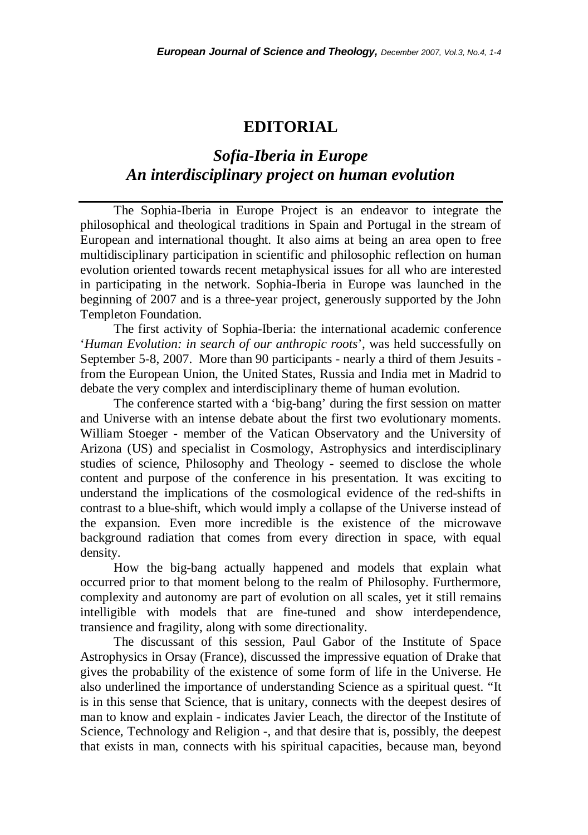## **EDITORIAL**

## *Sofia-Iberia in Europe An interdisciplinary project on human evolution*

The Sophia-Iberia in Europe Project is an endeavor to integrate the philosophical and theological traditions in Spain and Portugal in the stream of European and international thought. It also aims at being an area open to free multidisciplinary participation in scientific and philosophic reflection on human evolution oriented towards recent metaphysical issues for all who are interested in participating in the network. Sophia-Iberia in Europe was launched in the beginning of 2007 and is a three-year project, generously supported by the John Templeton Foundation.

The first activity of Sophia-Iberia: the international academic conference '*Human Evolution: in search of our anthropic roots*', was held successfully on September 5-8, 2007. More than 90 participants - nearly a third of them Jesuits from the European Union, the United States, Russia and India met in Madrid to debate the very complex and interdisciplinary theme of human evolution.

The conference started with a 'big-bang' during the first session on matter and Universe with an intense debate about the first two evolutionary moments. William Stoeger - member of the Vatican Observatory and the University of Arizona (US) and specialist in Cosmology, Astrophysics and interdisciplinary studies of science, Philosophy and Theology - seemed to disclose the whole content and purpose of the conference in his presentation. It was exciting to understand the implications of the cosmological evidence of the red-shifts in contrast to a blue-shift, which would imply a collapse of the Universe instead of the expansion. Even more incredible is the existence of the microwave background radiation that comes from every direction in space, with equal density.

How the big-bang actually happened and models that explain what occurred prior to that moment belong to the realm of Philosophy. Furthermore, complexity and autonomy are part of evolution on all scales, yet it still remains intelligible with models that are fine-tuned and show interdependence, transience and fragility, along with some directionality.

The discussant of this session, Paul Gabor of the Institute of Space Astrophysics in Orsay (France), discussed the impressive equation of Drake that gives the probability of the existence of some form of life in the Universe. He also underlined the importance of understanding Science as a spiritual quest. "It is in this sense that Science, that is unitary, connects with the deepest desires of man to know and explain - indicates Javier Leach, the director of the Institute of Science, Technology and Religion -, and that desire that is, possibly, the deepest that exists in man, connects with his spiritual capacities, because man, beyond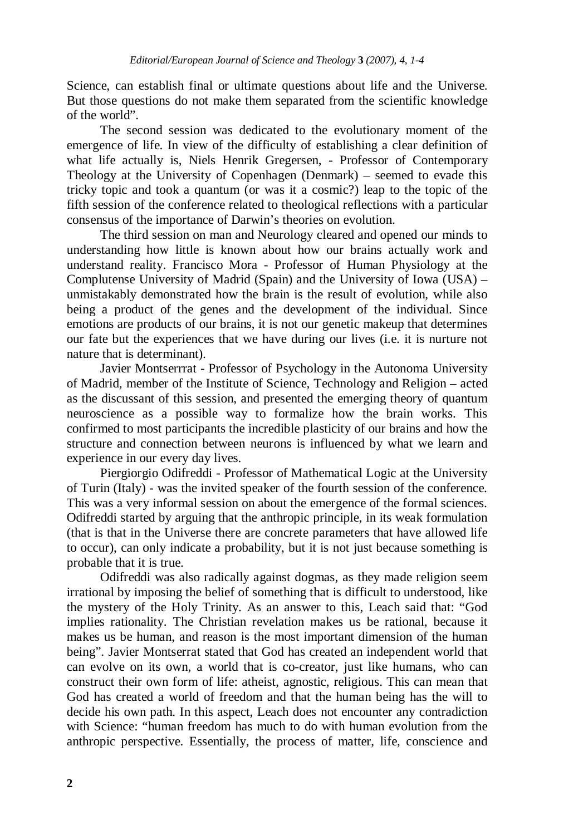Science, can establish final or ultimate questions about life and the Universe. But those questions do not make them separated from the scientific knowledge of the world".

The second session was dedicated to the evolutionary moment of the emergence of life. In view of the difficulty of establishing a clear definition of what life actually is, Niels Henrik Gregersen, - Professor of Contemporary Theology at the University of Copenhagen (Denmark) – seemed to evade this tricky topic and took a quantum (or was it a cosmic?) leap to the topic of the fifth session of the conference related to theological reflections with a particular consensus of the importance of Darwin's theories on evolution.

The third session on man and Neurology cleared and opened our minds to understanding how little is known about how our brains actually work and understand reality. Francisco Mora - Professor of Human Physiology at the Complutense University of Madrid (Spain) and the University of Iowa (USA) – unmistakably demonstrated how the brain is the result of evolution, while also being a product of the genes and the development of the individual. Since emotions are products of our brains, it is not our genetic makeup that determines our fate but the experiences that we have during our lives (i.e. it is nurture not nature that is determinant).

Javier Montserrrat - Professor of Psychology in the Autonoma University of Madrid, member of the Institute of Science, Technology and Religion – acted as the discussant of this session, and presented the emerging theory of quantum neuroscience as a possible way to formalize how the brain works. This confirmed to most participants the incredible plasticity of our brains and how the structure and connection between neurons is influenced by what we learn and experience in our every day lives.

Piergiorgio Odifreddi - Professor of Mathematical Logic at the University of Turin (Italy) - was the invited speaker of the fourth session of the conference. This was a very informal session on about the emergence of the formal sciences. Odifreddi started by arguing that the anthropic principle, in its weak formulation (that is that in the Universe there are concrete parameters that have allowed life to occur), can only indicate a probability, but it is not just because something is probable that it is true.

Odifreddi was also radically against dogmas, as they made religion seem irrational by imposing the belief of something that is difficult to understood, like the mystery of the Holy Trinity. As an answer to this, Leach said that: "God implies rationality. The Christian revelation makes us be rational, because it makes us be human, and reason is the most important dimension of the human being". Javier Montserrat stated that God has created an independent world that can evolve on its own, a world that is co-creator, just like humans, who can construct their own form of life: atheist, agnostic, religious. This can mean that God has created a world of freedom and that the human being has the will to decide his own path. In this aspect, Leach does not encounter any contradiction with Science: "human freedom has much to do with human evolution from the anthropic perspective. Essentially, the process of matter, life, conscience and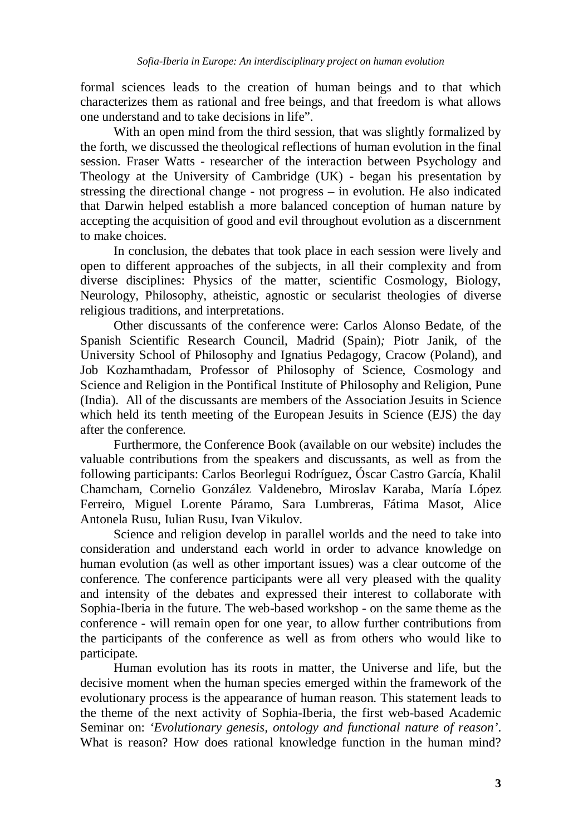formal sciences leads to the creation of human beings and to that which characterizes them as rational and free beings, and that freedom is what allows one understand and to take decisions in life".

With an open mind from the third session, that was slightly formalized by the forth, we discussed the theological reflections of human evolution in the final session. Fraser Watts - researcher of the interaction between Psychology and Theology at the University of Cambridge (UK) - began his presentation by stressing the directional change - not progress – in evolution. He also indicated that Darwin helped establish a more balanced conception of human nature by accepting the acquisition of good and evil throughout evolution as a discernment to make choices.

In conclusion, the debates that took place in each session were lively and open to different approaches of the subjects, in all their complexity and from diverse disciplines: Physics of the matter, scientific Cosmology, Biology, Neurology, Philosophy, atheistic, agnostic or secularist theologies of diverse religious traditions, and interpretations.

Other discussants of the conference were: Carlos Alonso Bedate, of the Spanish Scientific Research Council, Madrid (Spain)*;* Piotr Janik, of the University School of Philosophy and Ignatius Pedagogy, Cracow (Poland), and Job Kozhamthadam, Professor of Philosophy of Science, Cosmology and Science and Religion in the Pontifical Institute of Philosophy and Religion, Pune (India). All of the discussants are members of the Association Jesuits in Science which held its tenth meeting of the European Jesuits in Science (EJS) the day after the conference.

Furthermore, the Conference Book (available on our website) includes the valuable contributions from the speakers and discussants, as well as from the following participants: Carlos Beorlegui Rodríguez, Óscar Castro García, Khalil Chamcham, Cornelio González Valdenebro, Miroslav Karaba, María López Ferreiro, Miguel Lorente Páramo, Sara Lumbreras, Fátima Masot, Alice Antonela Rusu, Iulian Rusu, Ivan Vikulov.

Science and religion develop in parallel worlds and the need to take into consideration and understand each world in order to advance knowledge on human evolution (as well as other important issues) was a clear outcome of the conference. The conference participants were all very pleased with the quality and intensity of the debates and expressed their interest to collaborate with Sophia-Iberia in the future. The web-based workshop - on the same theme as the conference - will remain open for one year, to allow further contributions from the participants of the conference as well as from others who would like to participate.

Human evolution has its roots in matter, the Universe and life, but the decisive moment when the human species emerged within the framework of the evolutionary process is the appearance of human reason. This statement leads to the theme of the next activity of Sophia-Iberia, the first web-based Academic Seminar on: *'Evolutionary genesis, ontology and functional nature of reason'*. What is reason? How does rational knowledge function in the human mind?